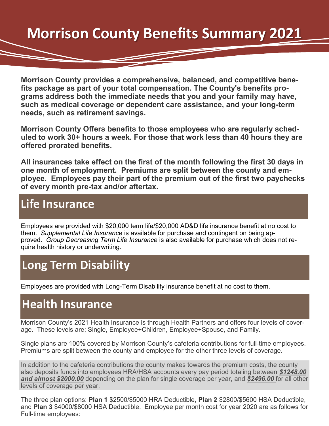# **Morrison County Benefits Summary 2021**

**Morrison County provides a comprehensive, balanced, and competitive benefits package as part of your total compensation. The County's benefits programs address both the immediate needs that you and your family may have, such as medical coverage or dependent care assistance, and your long-term needs, such as retirement savings.**

**Morrison County Offers benefits to those employees who are regularly scheduled to work 30+ hours a week. For those that work less than 40 hours they are offered prorated benefits.**

**All insurances take effect on the first of the month following the first 30 days in one month of employment. Premiums are split between the county and employee. Employees pay their part of the premium out of the first two paychecks of every month pre-tax and/or aftertax.** 

#### **Life Insurance**

Employees are provided with \$20,000 term life/\$20,000 AD&D life insurance benefit at no cost to them. *Supplemental Life Insurance* is available for purchase and contingent on being approved. *Group Decreasing Term Life Insurance* is also available for purchase which does not require health history or underwriting.

#### **Long Term Disability**

Employees are provided with Long-Term Disability insurance benefit at no cost to them.

#### **Health Insurance**

Morrison County's 2021 Health Insurance is through Health Partners and offers four levels of coverage. These levels are; Single, Employee+Children, Employee+Spouse, and Family.

Single plans are 100% covered by Morrison County's cafeteria contributions for full-time employees. Premiums are split between the county and employee for the other three levels of coverage.

In addition to the cafeteria contributions the county makes towards the premium costs, the county also deposits funds into employees HRA/HSA accounts every pay period totaling between *\$1248.00 and almost \$2000.00* depending on the plan for single coverage per year, and *\$2496.00* for all other levels of coverage per year.

The three plan options: **Plan 1** \$2500/\$5000 HRA Deductible, **Plan 2** \$2800/\$5600 HSA Deductible, and **Plan 3** \$4000/\$8000 HSA Deductible. Employee per month cost for year 2020 are as follows for Full-time employees: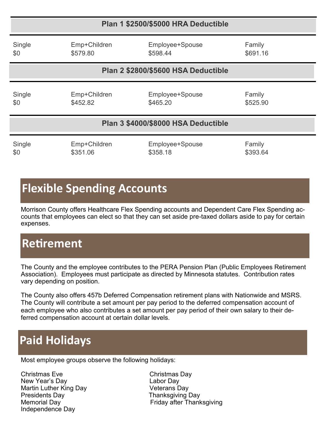| Plan 1 \$2500/\$5000 HRA Deductible |                          |                                     |                    |
|-------------------------------------|--------------------------|-------------------------------------|--------------------|
| Single<br>\$0                       | Emp+Children<br>\$579.80 | Employee+Spouse<br>\$598.44         | Family<br>\$691.16 |
|                                     |                          | Plan 2 \$2800/\$5600 HSA Deductible |                    |
| Single<br>\$0                       | Emp+Children<br>\$452.82 | Employee+Spouse<br>\$465.20         | Family<br>\$525.90 |
|                                     |                          | Plan 3 \$4000/\$8000 HSA Deductible |                    |
| Single                              | Emp+Children             | Employee+Spouse                     | Family             |

\$0 \$351.06 \$358.18 \$358.18

# **Flexible Spending Accounts**

Morrison County offers Healthcare Flex Spending accounts and Dependent Care Flex Spending accounts that employees can elect so that they can set aside pre-taxed dollars aside to pay for certain expenses.

## **Retirement**

The County and the employee contributes to the PERA Pension Plan (Public Employees Retirement Association). Employees must participate as directed by Minnesota statutes. Contribution rates vary depending on position.

The County also offers 457b Deferred Compensation retirement plans with Nationwide and MSRS. The County will contribute a set amount per pay period to the deferred compensation account of each employee who also contributes a set amount per pay period of their own salary to their deferred compensation account at certain dollar levels.

## **Paid Holidays**

Most employee groups observe the following holidays:

Christmas Eve Christmas Day New Year's Day **Labor Day** Martin Luther King Day **Veterans Day** Presidents Day **Thanksgiving Day** Independence Day

Memorial Day **Friday after Thanksgiving**